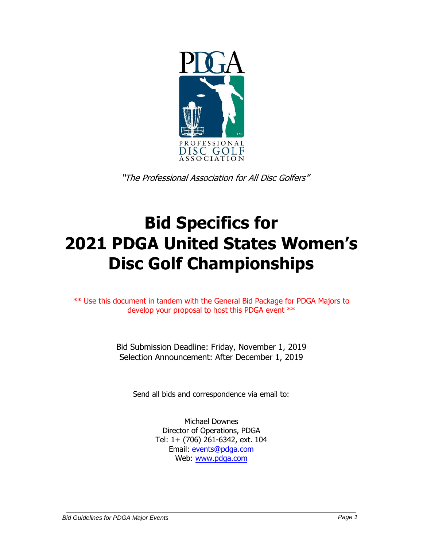

"The Professional Association for All Disc Golfers"

# **Bid Specifics for 2021 PDGA United States Women's Disc Golf Championships**

\*\* Use this document in tandem with the General Bid Package for PDGA Majors to develop your proposal to host this PDGA event \*\*

> Bid Submission Deadline: Friday, November 1, 2019 Selection Announcement: After December 1, 2019

Send all bids and correspondence via email to:

Michael Downes Director of Operations, PDGA Tel: 1+ (706) 261-6342, ext. 104 Email: [events@pdga.com](mailto:events@pdga.com) Web: [www.pdga.com](http://www.pdga.com/)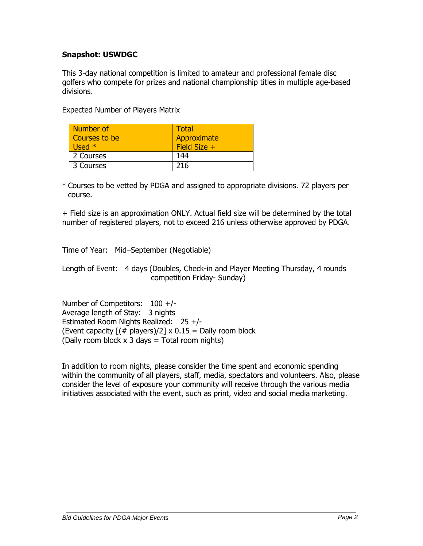## **Snapshot: USWDGC**

This 3-day national competition is limited to amateur and professional female disc golfers who compete for prizes and national championship titles in multiple age-based divisions.

Expected Number of Players Matrix

| Number of<br>Courses to be<br>Used $*$ | Total<br>Approximate<br>Field Size $+$ |
|----------------------------------------|----------------------------------------|
| 2 Courses                              | 144                                    |
| 3 Courses                              | 216                                    |

\* Courses to be vetted by PDGA and assigned to appropriate divisions. 72 players per course.

+ Field size is an approximation ONLY. Actual field size will be determined by the total number of registered players, not to exceed 216 unless otherwise approved by PDGA.

Time of Year: Mid–September (Negotiable)

Length of Event: 4 days (Doubles, Check-in and Player Meeting Thursday, 4 rounds competition Friday- Sunday)

Number of Competitors: 100 +/- Average length of Stay: 3 nights Estimated Room Nights Realized: 25 +/- (Event capacity  $[(# players)/2] \times 0.15 =$  Daily room block (Daily room block  $x$  3 days = Total room nights)

In addition to room nights, please consider the time spent and economic spending within the community of all players, staff, media, spectators and volunteers. Also, please consider the level of exposure your community will receive through the various media initiatives associated with the event, such as print, video and social media marketing.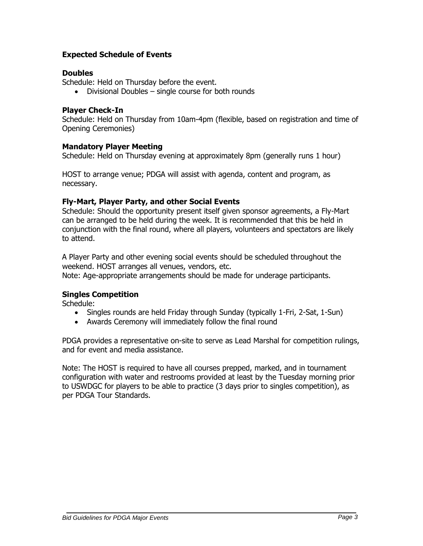## **Expected Schedule of Events**

## **Doubles**

Schedule: Held on Thursday before the event.

• Divisional Doubles – single course for both rounds

# **Player Check-In**

Schedule: Held on Thursday from 10am-4pm (flexible, based on registration and time of Opening Ceremonies)

# **Mandatory Player Meeting**

Schedule: Held on Thursday evening at approximately 8pm (generally runs 1 hour)

HOST to arrange venue; PDGA will assist with agenda, content and program, as necessary.

# **Fly-Mart, Player Party, and other Social Events**

Schedule: Should the opportunity present itself given sponsor agreements, a Fly-Mart can be arranged to be held during the week. It is recommended that this be held in conjunction with the final round, where all players, volunteers and spectators are likely to attend.

A Player Party and other evening social events should be scheduled throughout the weekend. HOST arranges all venues, vendors, etc. Note: Age-appropriate arrangements should be made for underage participants.

#### **Singles Competition**

Schedule:

- Singles rounds are held Friday through Sunday (typically 1-Fri, 2-Sat, 1-Sun)
- Awards Ceremony will immediately follow the final round

PDGA provides a representative on-site to serve as Lead Marshal for competition rulings, and for event and media assistance.

Note: The HOST is required to have all courses prepped, marked, and in tournament configuration with water and restrooms provided at least by the Tuesday morning prior to USWDGC for players to be able to practice (3 days prior to singles competition), as per PDGA Tour Standards.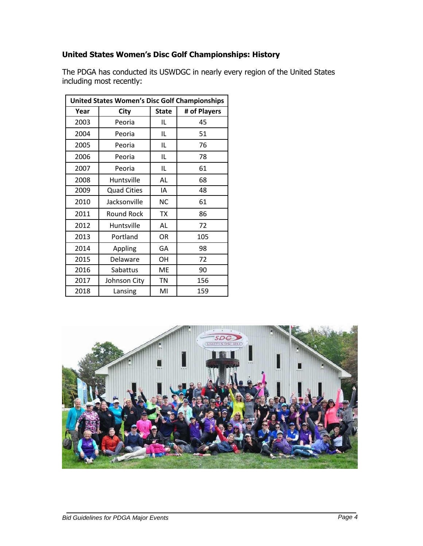# **United States Women's Disc Golf Championships: History**

| <b>United States Women's Disc Golf Championships</b> |                    |              |              |  |  |  |  |
|------------------------------------------------------|--------------------|--------------|--------------|--|--|--|--|
| Year                                                 | <b>City</b>        | <b>State</b> | # of Players |  |  |  |  |
| 2003                                                 | Peoria             | IL           | 45           |  |  |  |  |
| 2004                                                 | Peoria             | IL           | 51           |  |  |  |  |
| 2005                                                 | Peoria             | IL           | 76           |  |  |  |  |
| 2006                                                 | Peoria             | IL           | 78           |  |  |  |  |
| 2007                                                 | Peoria             | IL           | 61           |  |  |  |  |
| 2008                                                 | Huntsville         | AL           | 68           |  |  |  |  |
| 2009                                                 | <b>Quad Cities</b> | ΙA           | 48           |  |  |  |  |
| 2010                                                 | Jacksonville       | <b>NC</b>    | 61           |  |  |  |  |
| 2011                                                 | Round Rock         | <b>TX</b>    | 86           |  |  |  |  |
| 2012                                                 | Huntsville         | AL           | 72           |  |  |  |  |
| 2013                                                 | Portland           | OR           | 105          |  |  |  |  |
| 2014                                                 | Appling            | GA           | 98           |  |  |  |  |
| 2015                                                 | Delaware           | OН           | 72           |  |  |  |  |
| 2016                                                 | Sabattus           | ME           | 90           |  |  |  |  |
| 2017                                                 | Johnson City       | <b>TN</b>    | 156          |  |  |  |  |
| 2018                                                 | Lansing            | MI           | 159          |  |  |  |  |

The PDGA has conducted its USWDGC in nearly every region of the United States including most recently:

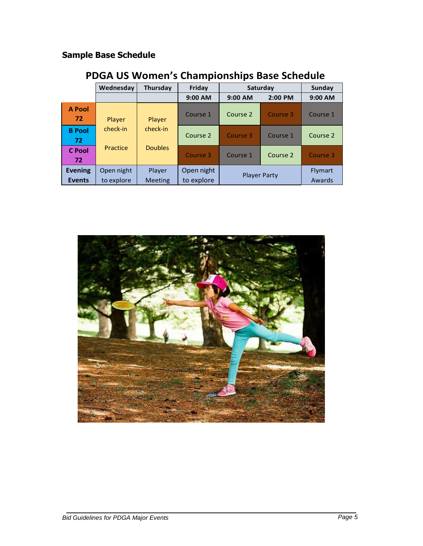# **Sample Base Schedule**

|                                 | Wednesday                | Thursday                        | Friday                   | Saturday            |           | Sunday            |
|---------------------------------|--------------------------|---------------------------------|--------------------------|---------------------|-----------|-------------------|
|                                 |                          |                                 | 9:00 AM                  | $9:00$ AM           | $2:00$ PM | $9:00$ AM         |
| <b>A Pool</b><br>72             | Player                   | Player                          | Course 1                 | Course 2            | Course 3  | Course 1          |
| <b>B</b> Pool<br>72             | check-in                 | check-in                        | Course 2                 | Course 3            | Course 1  | Course 2          |
| <b>C</b> Pool<br>72             | Practice                 | <b>Doubles</b>                  | Course 3                 | Course 1            | Course 2  | Course 3          |
| <b>Evening</b><br><b>Events</b> | Open night<br>to explore | <b>Player</b><br><b>Meeting</b> | Open night<br>to explore | <b>Player Party</b> |           | Flymart<br>Awards |

# **PDGA US Women's Championships Base Schedule**

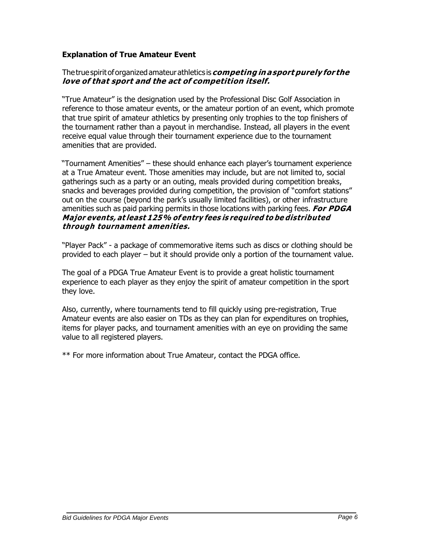## **Explanation of True Amateur Event**

#### Thetruespiritoforganizedamateurathletics is**competing in asport purely for the love of that sport and the act of competition itself.**

"True Amateur" is the designation used by the Professional Disc Golf Association in reference to those amateur events, or the amateur portion of an event, which promote that true spirit of amateur athletics by presenting only trophies to the top finishers of the tournament rather than a payout in merchandise. Instead, all players in the event receive equal value through their tournament experience due to the tournament amenities that are provided.

"Tournament Amenities" – these should enhance each player's tournament experience at a True Amateur event. Those amenities may include, but are not limited to, social gatherings such as a party or an outing, meals provided during competition breaks, snacks and beverages provided during competition, the provision of "comfort stations" out on the course (beyond the park's usually limited facilities), or other infrastructure amenities such as paid parking permits in those locations with parking fees. **For PDGA Major events, at least 125% of entry fees is required to be distributed through tournament amenities.**

"Player Pack" - a package of commemorative items such as discs or clothing should be provided to each player – but it should provide only a portion of the tournament value.

The goal of a PDGA True Amateur Event is to provide a great holistic tournament experience to each player as they enjoy the spirit of amateur competition in the sport they love.

Also, currently, where tournaments tend to fill quickly using pre-registration, True Amateur events are also easier on TDs as they can plan for expenditures on trophies, items for player packs, and tournament amenities with an eye on providing the same value to all registered players.

\*\* For more information about True Amateur, contact the PDGA office.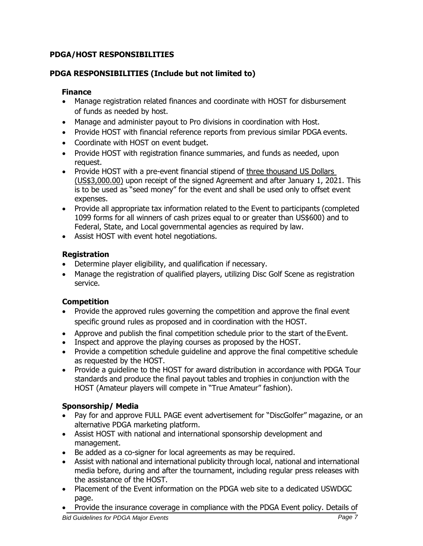# **PDGA/HOST RESPONSIBILITIES**

# **PDGA RESPONSIBILITIES (Include but not limited to)**

## **Finance**

- Manage registration related finances and coordinate with HOST for disbursement of funds as needed by host.
- Manage and administer payout to Pro divisions in coordination with Host.
- Provide HOST with financial reference reports from previous similar PDGA events.
- Coordinate with HOST on event budget.
- Provide HOST with registration finance summaries, and funds as needed, upon request.
- Provide HOST with a pre-event financial stipend of three thousand US Dollars (US\$3,000.00) upon receipt of the signed Agreement and after January 1, 2021. This is to be used as "seed money" for the event and shall be used only to offset event expenses.
- Provide all appropriate tax information related to the Event to participants (completed 1099 forms for all winners of cash prizes equal to or greater than US\$600) and to Federal, State, and Local governmental agencies as required by law.
- Assist HOST with event hotel negotiations.

# **Registration**

- Determine player eligibility, and qualification if necessary.
- Manage the registration of qualified players, utilizing Disc Golf Scene as registration service.

# **Competition**

- Provide the approved rules governing the competition and approve the final event specific ground rules as proposed and in coordination with the HOST.
- Approve and publish the final competition schedule prior to the start of the Event.
- Inspect and approve the playing courses as proposed by the HOST.
- Provide a competition schedule guideline and approve the final competitive schedule as requested by the HOST.
- Provide a guideline to the HOST for award distribution in accordance with PDGA Tour standards and produce the final payout tables and trophies in conjunction with the HOST (Amateur players will compete in "True Amateur" fashion).

# **Sponsorship/ Media**

- Pay for and approve FULL PAGE event advertisement for "DiscGolfer" magazine, or an alternative PDGA marketing platform.
- Assist HOST with national and international sponsorship development and management.
- Be added as a co-signer for local agreements as may be required.
- Assist with national and international publicity through local, national and international media before, during and after the tournament, including regular press releases with the assistance of the HOST.
- Placement of the Event information on the PDGA web site to a dedicated USWDGC page.
- Provide the insurance coverage in compliance with the PDGA Event policy. Details of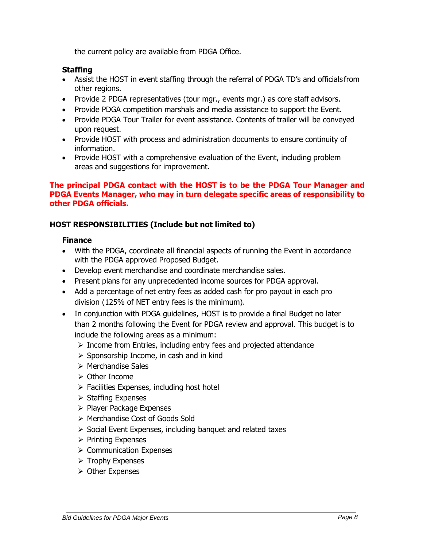the current policy are available from PDGA Office.

#### **Staffing**

- Assist the HOST in event staffing through the referral of PDGA TD's and officials from other regions.
- Provide 2 PDGA representatives (tour mgr., events mgr.) as core staff advisors.
- Provide PDGA competition marshals and media assistance to support the Event.
- Provide PDGA Tour Trailer for event assistance. Contents of trailer will be conveyed upon request.
- Provide HOST with process and administration documents to ensure continuity of information.
- Provide HOST with a comprehensive evaluation of the Event, including problem areas and suggestions for improvement.

#### **The principal PDGA contact with the HOST is to be the PDGA Tour Manager and PDGA Events Manager, who may in turn delegate specific areas of responsibility to other PDGA officials.**

#### **HOST RESPONSIBILITIES (Include but not limited to)**

#### **Finance**

- With the PDGA, coordinate all financial aspects of running the Event in accordance with the PDGA approved Proposed Budget.
- Develop event merchandise and coordinate merchandise sales.
- Present plans for any unprecedented income sources for PDGA approval.
- Add a percentage of net entry fees as added cash for pro payout in each pro division (125% of NET entry fees is the minimum).
- In conjunction with PDGA guidelines, HOST is to provide a final Budget no later than 2 months following the Event for PDGA review and approval. This budget is to include the following areas as a minimum:
	- ➢ Income from Entries, including entry fees and projected attendance
	- ➢ Sponsorship Income, in cash and in kind
	- ➢ Merchandise Sales
	- ➢ Other Income
	- $\triangleright$  Facilities Expenses, including host hotel
	- ➢ Staffing Expenses
	- ➢ Player Package Expenses
	- ➢ Merchandise Cost of Goods Sold
	- ➢ Social Event Expenses, including banquet and related taxes
	- ➢ Printing Expenses
	- ➢ Communication Expenses
	- ➢ Trophy Expenses
	- ➢ Other Expenses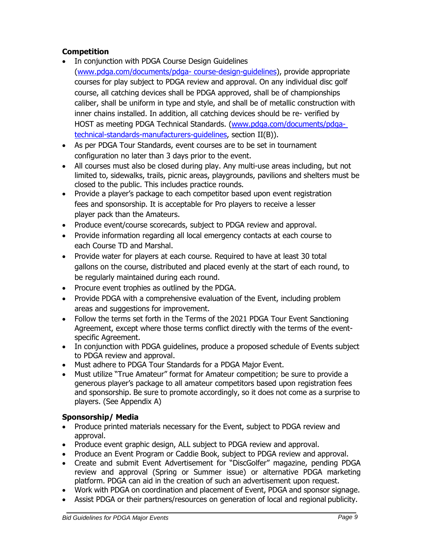# **Competition**

- In conjunction with PDGA Course Design Guidelines [\(www.pdga.com/documents/pdga-](http://www.pdga.com/documents/pdga-) course-design-guidelines), provide appropriate courses for play subject to PDGA review and approval. On any individual disc golf course, all catching devices shall be PDGA approved, shall be of championships caliber, shall be uniform in type and style, and shall be of metallic construction with inner chains installed. In addition, all catching devices should be re- verified by HOST as meeting PDGA Technical Standards. [\(www.pdga.com/documents/pdga](http://www.pdga.com/documents/pdga-)technical-standards-manufacturers-guidelines, section II(B)).
- As per PDGA Tour Standards, event courses are to be set in tournament configuration no later than 3 days prior to the event.
- All courses must also be closed during play. Any multi-use areas including, but not limited to, sidewalks, trails, picnic areas, playgrounds, pavilions and shelters must be closed to the public. This includes practice rounds.
- Provide a player's package to each competitor based upon event registration fees and sponsorship. It is acceptable for Pro players to receive a lesser player pack than the Amateurs.
- Produce event/course scorecards, subject to PDGA review and approval.
- Provide information regarding all local emergency contacts at each course to each Course TD and Marshal.
- Provide water for players at each course. Required to have at least 30 total gallons on the course, distributed and placed evenly at the start of each round, to be regularly maintained during each round.
- Procure event trophies as outlined by the PDGA.
- Provide PDGA with a comprehensive evaluation of the Event, including problem areas and suggestions for improvement.
- Follow the terms set forth in the Terms of the 2021 PDGA Tour Event Sanctioning Agreement, except where those terms conflict directly with the terms of the eventspecific Agreement.
- In conjunction with PDGA guidelines, produce a proposed schedule of Events subject to PDGA review and approval.
- Must adhere to PDGA Tour Standards for a PDGA Major Event.
- Must utilize "True Amateur" format for Amateur competition; be sure to provide a generous player's package to all amateur competitors based upon registration fees and sponsorship. Be sure to promote accordingly, so it does not come as a surprise to players. (See Appendix A)

# **Sponsorship/ Media**

- Produce printed materials necessary for the Event, subject to PDGA review and approval.
- Produce event graphic design, ALL subject to PDGA review and approval.
- Produce an Event Program or Caddie Book, subject to PDGA review and approval.
- Create and submit Event Advertisement for "DiscGolfer" magazine, pending PDGA review and approval (Spring or Summer issue) or alternative PDGA marketing platform. PDGA can aid in the creation of such an advertisement upon request.
- Work with PDGA on coordination and placement of Event, PDGA and sponsor signage.
- Assist PDGA or their partners/resources on generation of local and regional publicity.